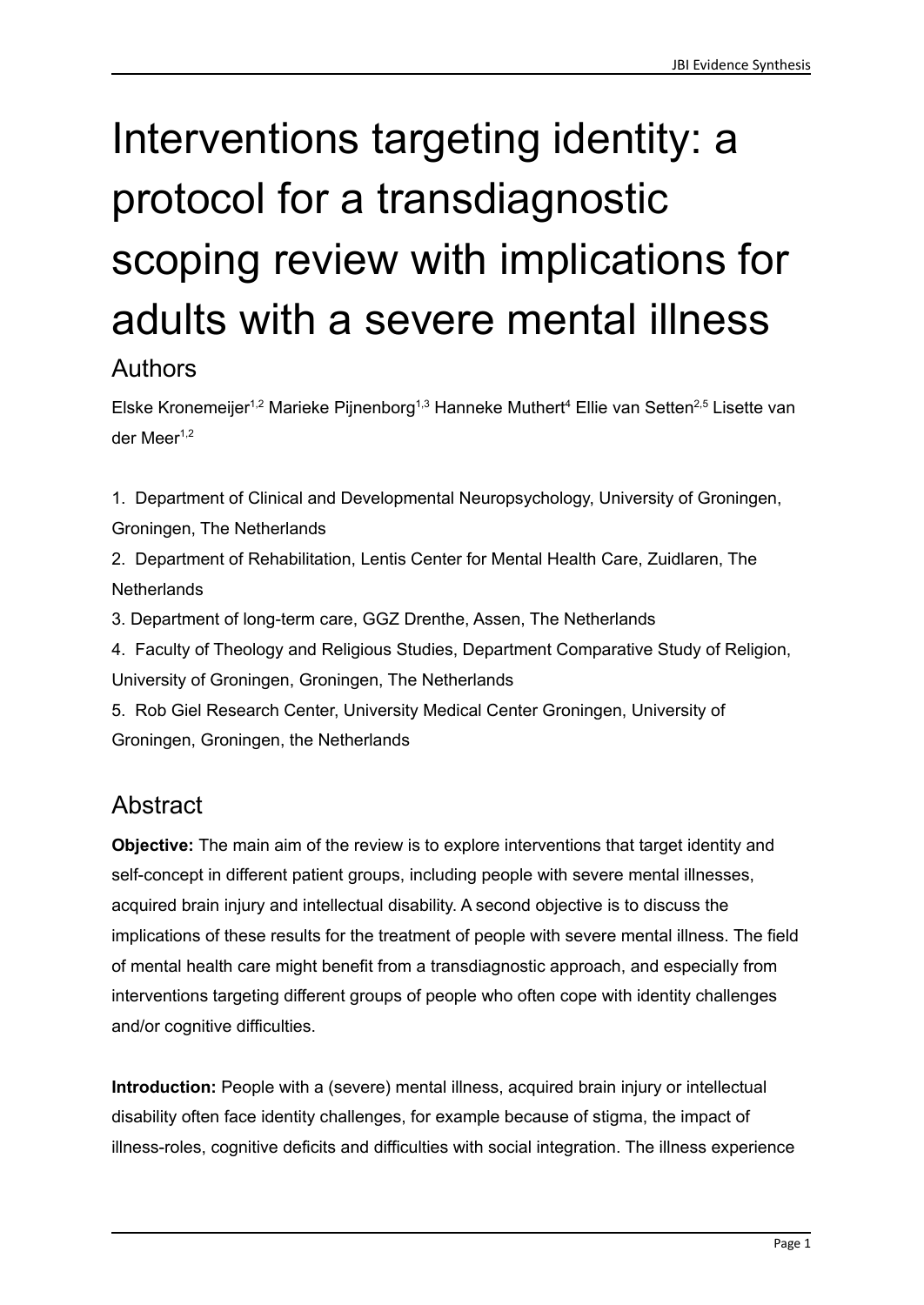# Interventions targeting identity: a protocol for a transdiagnostic scoping review with implications for adults with a severe mental illness

### Authors

Elske Kronemeijer<sup>1,2</sup> Marieke Pijnenborg<sup>1,3</sup> Hanneke Muthert<sup>4</sup> Ellie van Setten<sup>2,5</sup> Lisette van der Meer 1,2

1. Department of Clinical and Developmental Neuropsychology, University of Groningen, Groningen, The Netherlands

2. Department of Rehabilitation, Lentis Center for Mental Health Care, Zuidlaren, The **Netherlands** 

3. Department of long-term care, GGZ Drenthe, Assen, The Netherlands

4. Faculty of Theology and Religious Studies, Department Comparative Study of Religion, University of Groningen, Groningen, The Netherlands

5. Rob Giel Research Center, University Medical Center Groningen, University of Groningen, Groningen, the Netherlands

# **Abstract**

**Objective:** The main aim of the review is to explore interventions that target identity and self-concept in different patient groups, including people with severe mental illnesses, acquired brain injury and intellectual disability. A second objective is to discuss the implications of these results for the treatment of people with severe mental illness. The field of mental health care might benefit from a transdiagnostic approach, and especially from interventions targeting different groups of people who often cope with identity challenges and/or cognitive difficulties.

**Introduction:** People with a (severe) mental illness, acquired brain injury or intellectual disability often face identity challenges, for example because of stigma, the impact of illness-roles, cognitive deficits and difficulties with social integration. The illness experience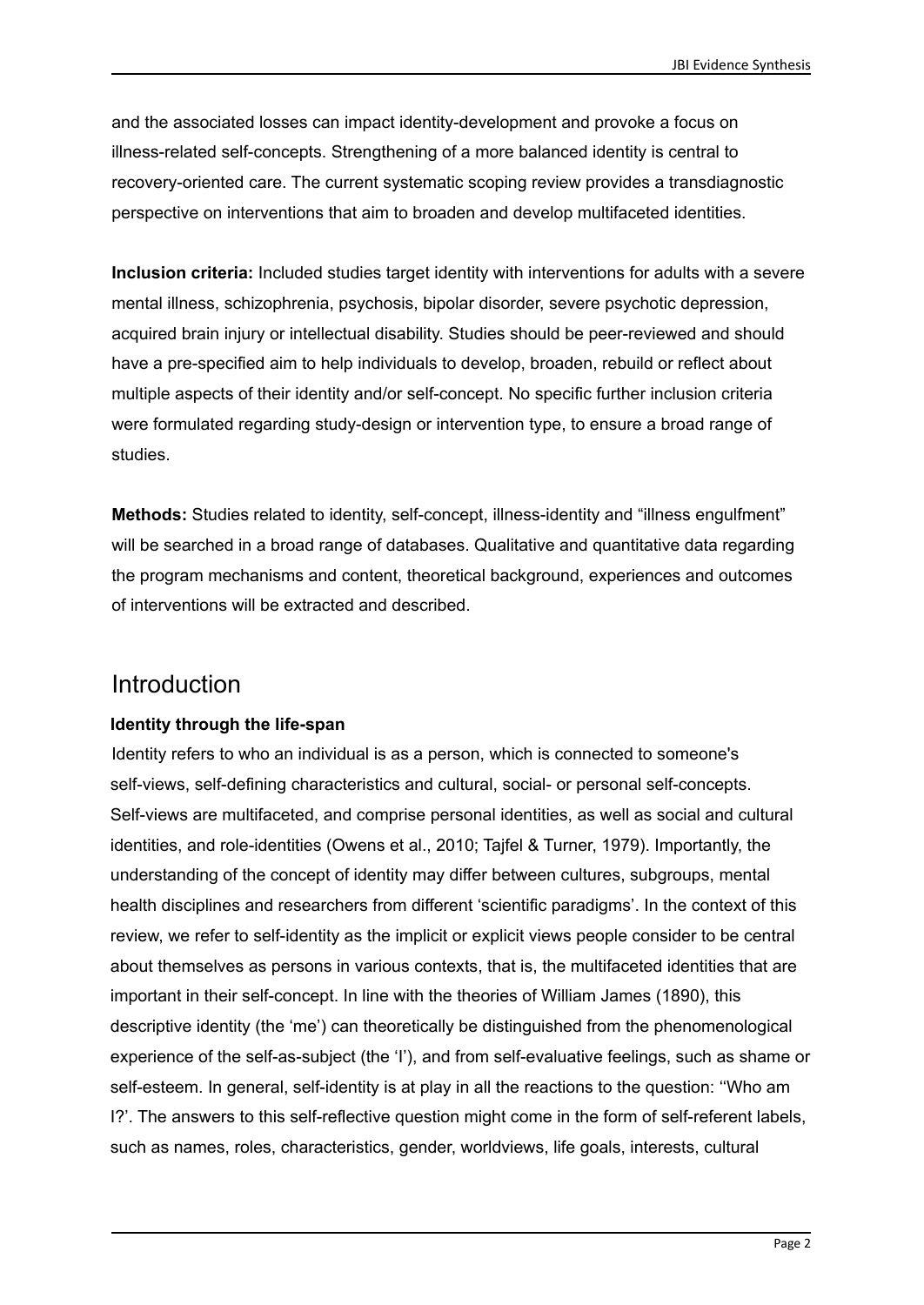and the associated losses can impact identity-development and provoke a focus on illness-related self-concepts. Strengthening of a more balanced identity is central to recovery-oriented care. The current systematic scoping review provides a transdiagnostic perspective on interventions that aim to broaden and develop multifaceted identities.

**Inclusion criteria:** Included studies target identity with interventions for adults with a severe mental illness, schizophrenia, psychosis, bipolar disorder, severe psychotic depression, acquired brain injury or intellectual disability. Studies should be peer-reviewed and should have a pre-specified aim to help individuals to develop, broaden, rebuild or reflect about multiple aspects of their identity and/or self-concept. No specific further inclusion criteria were formulated regarding study-design or intervention type, to ensure a broad range of studies.

**Methods:** Studies related to identity, self-concept, illness-identity and "illness engulfment" will be searched in a broad range of databases. Qualitative and quantitative data regarding the program mechanisms and content, theoretical background, experiences and outcomes of interventions will be extracted and described.

### Introduction

### **Identity through the life-span**

Identity refers to who an individual is as a person, which is connected to someone's self-views, self-defining characteristics and cultural, social- or personal self-concepts. Self-views are multifaceted, and comprise personal identities, as well as social and cultural identities, and role-identities (Owens et al., 2010; Tajfel & Turner, 1979). Importantly, the understanding of the concept of identity may differ between cultures, subgroups, mental health disciplines and researchers from different 'scientific paradigms'. In the context of this review, we refer to self-identity as the implicit or explicit views people consider to be central about themselves as persons in various contexts, that is, the multifaceted identities that are important in their self-concept. In line with the theories of William James (1890), this descriptive identity (the 'me') can theoretically be distinguished from the phenomenological experience of the self-as-subject (the 'I'), and from self-evaluative feelings, such as shame or self-esteem. In general, self-identity is at play in all the reactions to the question: ''Who am I?'. The answers to this self-reflective question might come in the form of self-referent labels, such as names, roles, characteristics, gender, worldviews, life goals, interests, cultural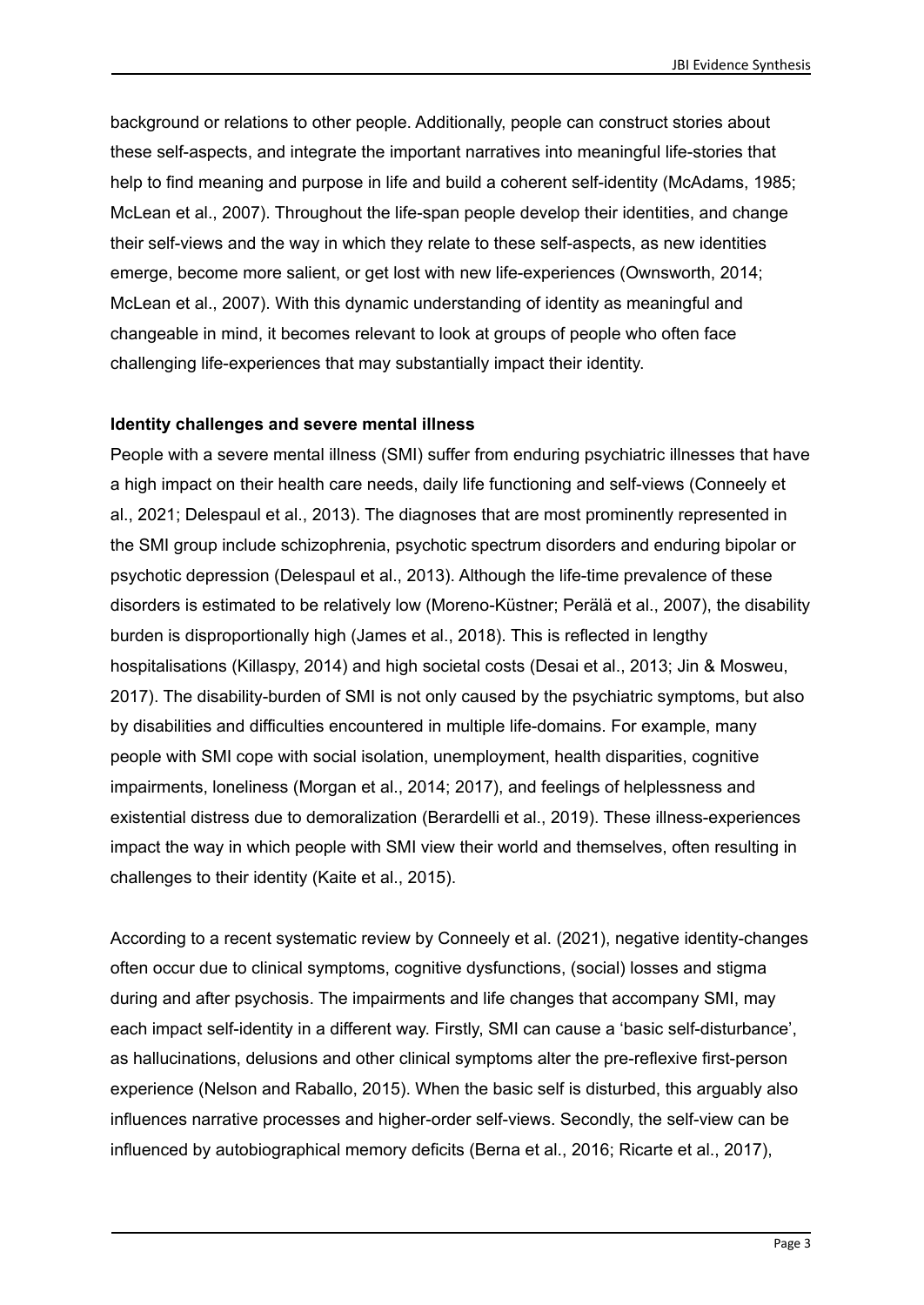background or relations to other people. Additionally, people can construct stories about these self-aspects, and integrate the important narratives into meaningful life-stories that help to find meaning and purpose in life and build a coherent self-identity (McAdams, 1985; McLean et al., 2007). Throughout the life-span people develop their identities, and change their self-views and the way in which they relate to these self-aspects, as new identities emerge, become more salient, or get lost with new life-experiences (Ownsworth, 2014; McLean et al., 2007). With this dynamic understanding of identity as meaningful and changeable in mind, it becomes relevant to look at groups of people who often face challenging life-experiences that may substantially impact their identity.

#### **Identity challenges and severe mental illness**

People with a severe mental illness (SMI) suffer from enduring psychiatric illnesses that have a high impact on their health care needs, daily life functioning and self-views (Conneely et al., 2021; Delespaul et al., 2013). The diagnoses that are most prominently represented in the SMI group include schizophrenia, psychotic spectrum disorders and enduring bipolar or psychotic depression (Delespaul et al., 2013). Although the life-time prevalence of these disorders is estimated to be relatively low (Moreno-Küstner; Perälä et al., 2007), the disability burden is disproportionally high (James et al., 2018). This is reflected in lengthy hospitalisations (Killaspy, 2014) and high societal costs (Desai et al., 2013; Jin & Mosweu, 2017). The disability-burden of SMI is not only caused by the psychiatric symptoms, but also by disabilities and difficulties encountered in multiple life-domains. For example, many people with SMI cope with social isolation, unemployment, health disparities, cognitive impairments, loneliness (Morgan et al., 2014; 2017), and feelings of helplessness and existential distress due to demoralization (Berardelli et al., 2019). These illness-experiences impact the way in which people with SMI view their world and themselves, often resulting in challenges to their identity (Kaite et al., 2015).

According to a recent systematic review by Conneely et al. (2021), negative identity-changes often occur due to clinical symptoms, cognitive dysfunctions, (social) losses and stigma during and after psychosis. The impairments and life changes that accompany SMI, may each impact self-identity in a different way. Firstly, SMI can cause a 'basic self-disturbance', as hallucinations, delusions and other clinical symptoms alter the pre-reflexive first-person experience (Nelson and Raballo, 2015). When the basic self is disturbed, this arguably also influences narrative processes and higher-order self-views. Secondly, the self-view can be influenced by autobiographical memory deficits (Berna et al., 2016; Ricarte et al., 2017),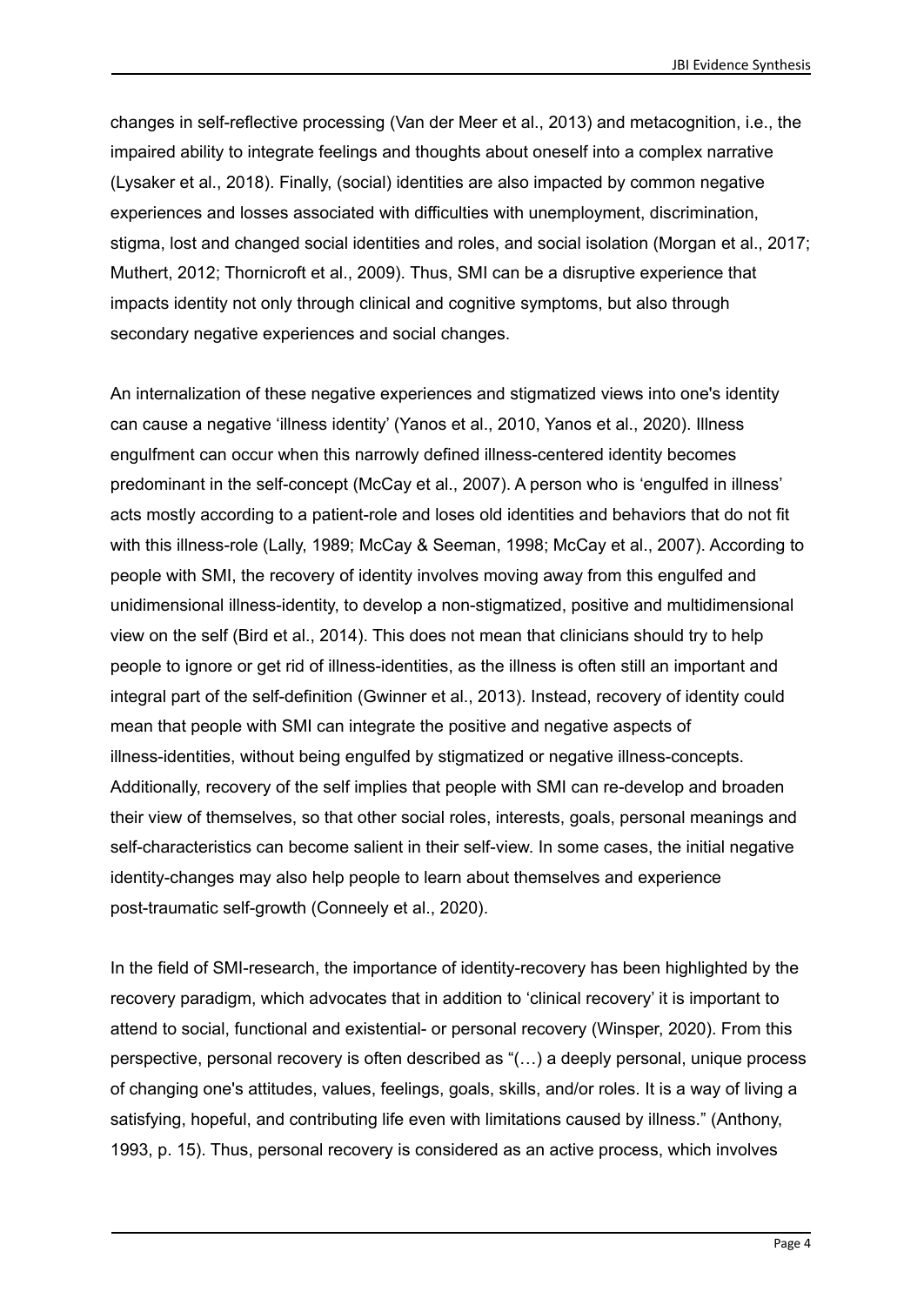changes in self-reflective processing (Van der Meer et al., 2013) and metacognition, i.e., the impaired ability to integrate feelings and thoughts about oneself into a complex narrative (Lysaker et al., 2018). Finally, (social) identities are also impacted by common negative experiences and losses associated with difficulties with unemployment, discrimination, stigma, lost and changed social identities and roles, and social isolation (Morgan et al., 2017; Muthert, 2012; Thornicroft et al., 2009). Thus, SMI can be a disruptive experience that impacts identity not only through clinical and cognitive symptoms, but also through secondary negative experiences and social changes.

An internalization of these negative experiences and stigmatized views into one's identity can cause a negative 'illness identity' (Yanos et al., 2010, Yanos et al., 2020). Illness engulfment can occur when this narrowly defined illness-centered identity becomes predominant in the self-concept (McCay et al., 2007). A person who is 'engulfed in illness' acts mostly according to a patient-role and loses old identities and behaviors that do not fit with this illness-role (Lally, 1989; McCay & Seeman, 1998; McCay et al., 2007). According to people with SMI, the recovery of identity involves moving away from this engulfed and unidimensional illness-identity, to develop a non-stigmatized, positive and multidimensional view on the self (Bird et al., 2014). This does not mean that clinicians should try to help people to ignore or get rid of illness-identities, as the illness is often still an important and integral part of the self-definition (Gwinner et al., 2013). Instead, recovery of identity could mean that people with SMI can integrate the positive and negative aspects of illness-identities, without being engulfed by stigmatized or negative illness-concepts. Additionally, recovery of the self implies that people with SMI can re-develop and broaden their view of themselves, so that other social roles, interests, goals, personal meanings and self-characteristics can become salient in their self-view. In some cases, the initial negative identity-changes may also help people to learn about themselves and experience post-traumatic self-growth (Conneely et al., 2020).

In the field of SMI-research, the importance of identity-recovery has been highlighted by the recovery paradigm, which advocates that in addition to 'clinical recovery' it is important to attend to social, functional and existential- or personal recovery (Winsper, 2020). From this perspective, personal recovery is often described as "(…) a deeply personal, unique process of changing one's attitudes, values, feelings, goals, skills, and/or roles. It is a way of living a satisfying, hopeful, and contributing life even with limitations caused by illness." (Anthony, 1993, p. 15). Thus, personal recovery is considered as an active process, which involves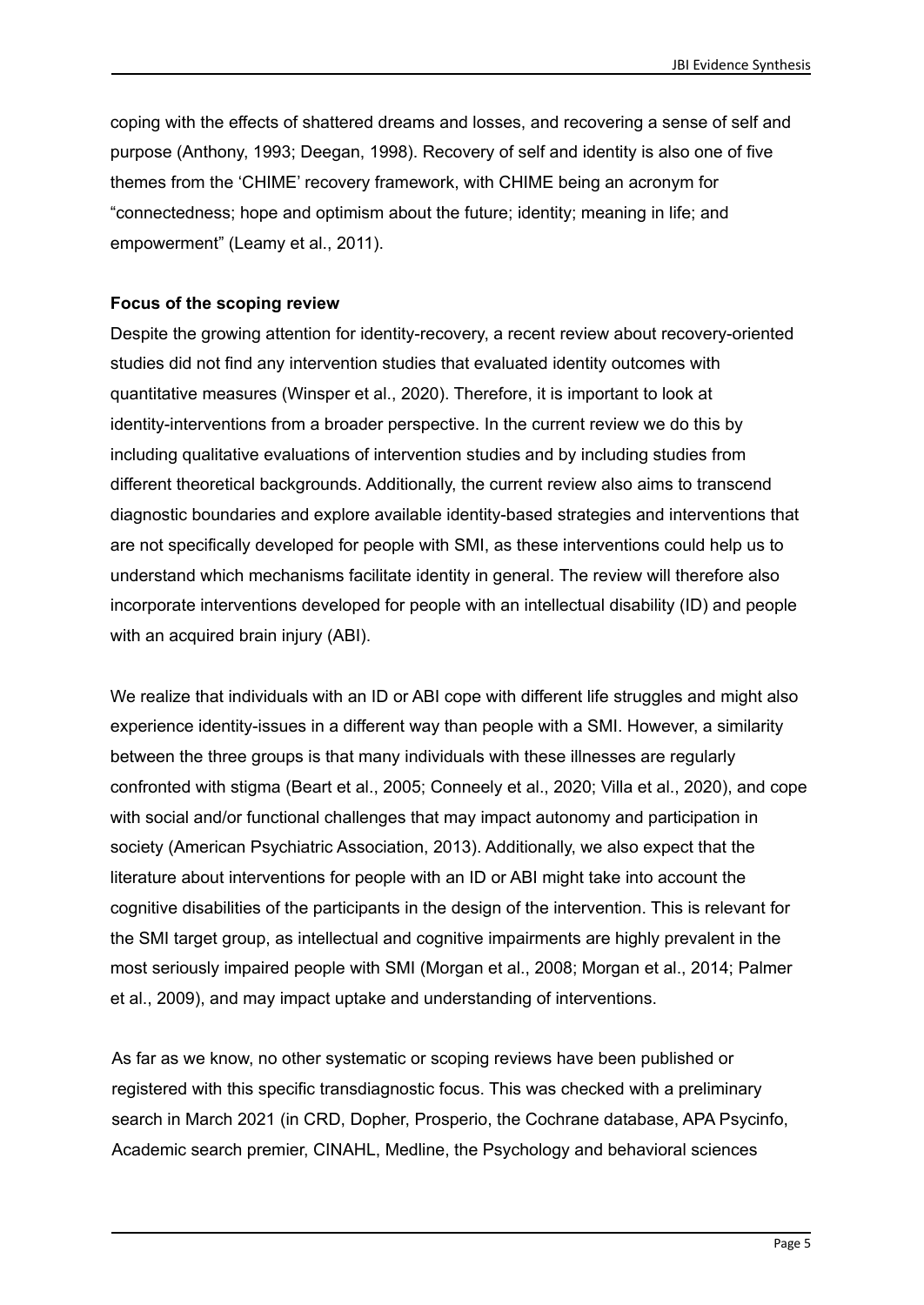coping with the effects of shattered dreams and losses, and recovering a sense of self and purpose (Anthony, 1993; Deegan, 1998). Recovery of self and identity is also one of five themes from the 'CHIME' recovery framework, with CHIME being an acronym for "connectedness; hope and optimism about the future; identity; meaning in life; and empowerment" (Leamy et al., 2011).

### **Focus of the scoping review**

Despite the growing attention for identity-recovery, a recent review about recovery-oriented studies did not find any intervention studies that evaluated identity outcomes with quantitative measures (Winsper et al., 2020). Therefore, it is important to look at identity-interventions from a broader perspective. In the current review we do this by including qualitative evaluations of intervention studies and by including studies from different theoretical backgrounds. Additionally, the current review also aims to transcend diagnostic boundaries and explore available identity-based strategies and interventions that are not specifically developed for people with SMI, as these interventions could help us to understand which mechanisms facilitate identity in general. The review will therefore also incorporate interventions developed for people with an intellectual disability (ID) and people with an acquired brain injury (ABI).

We realize that individuals with an ID or ABI cope with different life struggles and might also experience identity-issues in a different way than people with a SMI. However, a similarity between the three groups is that many individuals with these illnesses are regularly confronted with stigma (Beart et al., 2005; Conneely et al., 2020; Villa et al., 2020), and cope with social and/or functional challenges that may impact autonomy and participation in society (American Psychiatric Association, 2013). Additionally, we also expect that the literature about interventions for people with an ID or ABI might take into account the cognitive disabilities of the participants in the design of the intervention. This is relevant for the SMI target group, as intellectual and cognitive impairments are highly prevalent in the most seriously impaired people with SMI (Morgan et al., 2008; Morgan et al., 2014; Palmer et al., 2009), and may impact uptake and understanding of interventions.

As far as we know, no other systematic or scoping reviews have been published or registered with this specific transdiagnostic focus. This was checked with a preliminary search in March 2021 (in CRD, Dopher, Prosperio, the Cochrane database, APA Psycinfo, Academic search premier, CINAHL, Medline, the Psychology and behavioral sciences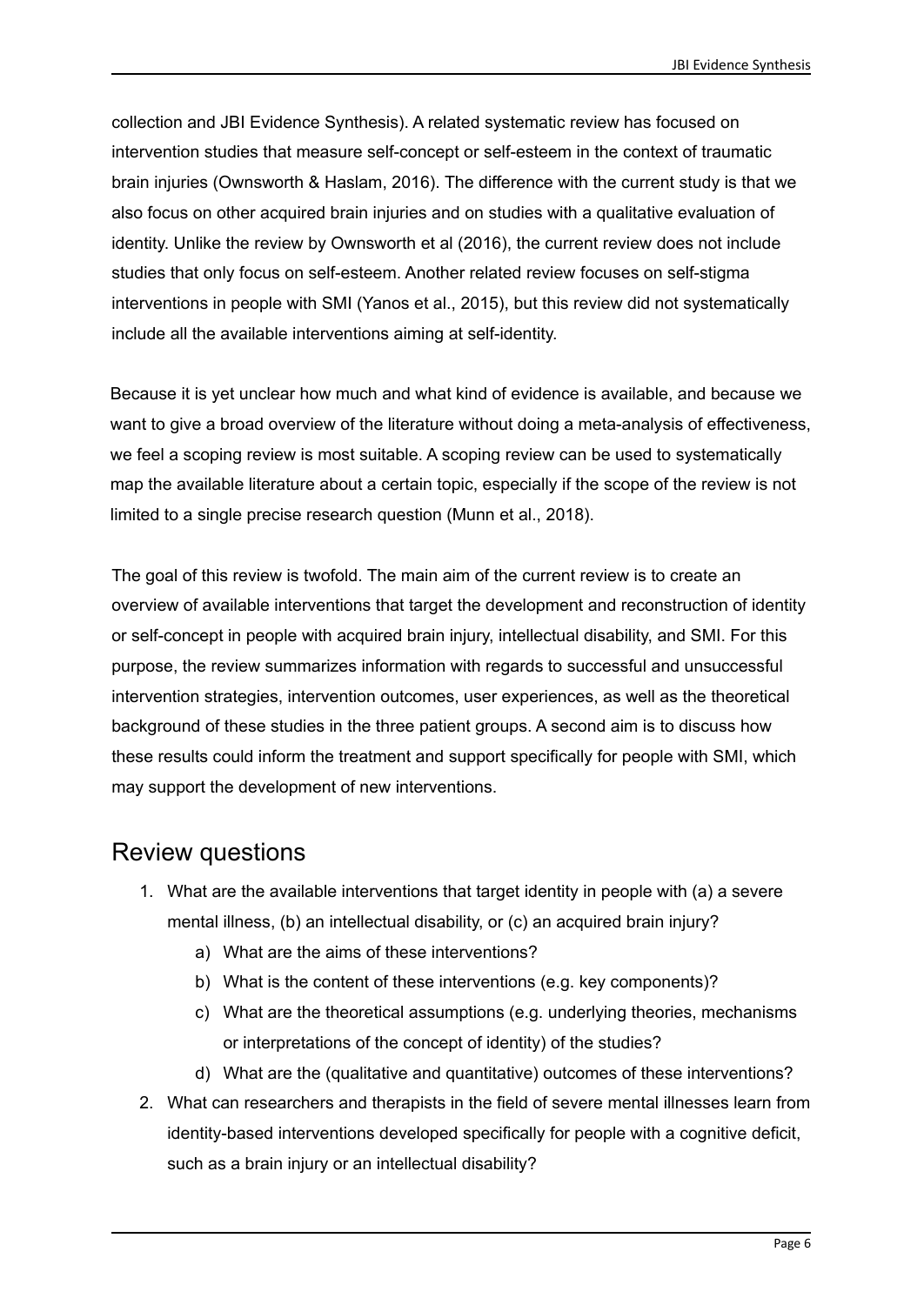collection and JBI Evidence Synthesis). A related systematic review has focused on intervention studies that measure self-concept or self-esteem in the context of traumatic brain injuries (Ownsworth & Haslam, 2016). The difference with the current study is that we also focus on other acquired brain injuries and on studies with a qualitative evaluation of identity. Unlike the review by Ownsworth et al (2016), the current review does not include studies that only focus on self-esteem. Another related review focuses on self-stigma interventions in people with SMI (Yanos et al., 2015), but this review did not systematically include all the available interventions aiming at self-identity.

Because it is yet unclear how much and what kind of evidence is available, and because we want to give a broad overview of the literature without doing a meta-analysis of effectiveness, we feel a scoping review is most suitable. A scoping review can be used to systematically map the available literature about a certain topic, especially if the scope of the review is not limited to a single precise research question (Munn et al., 2018).

The goal of this review is twofold. The main aim of the current review is to create an overview of available interventions that target the development and reconstruction of identity or self-concept in people with acquired brain injury, intellectual disability, and SMI. For this purpose, the review summarizes information with regards to successful and unsuccessful intervention strategies, intervention outcomes, user experiences, as well as the theoretical background of these studies in the three patient groups. A second aim is to discuss how these results could inform the treatment and support specifically for people with SMI, which may support the development of new interventions.

### Review questions

- 1. What are the available interventions that target identity in people with (a) a severe mental illness, (b) an intellectual disability, or (c) an acquired brain injury?
	- a) What are the aims of these interventions?
	- b) What is the content of these interventions (e.g. key components)?
	- c) What are the theoretical assumptions (e.g. underlying theories, mechanisms or interpretations of the concept of identity) of the studies?
	- d) What are the (qualitative and quantitative) outcomes of these interventions?
- 2. What can researchers and therapists in the field of severe mental illnesses learn from identity-based interventions developed specifically for people with a cognitive deficit, such as a brain injury or an intellectual disability?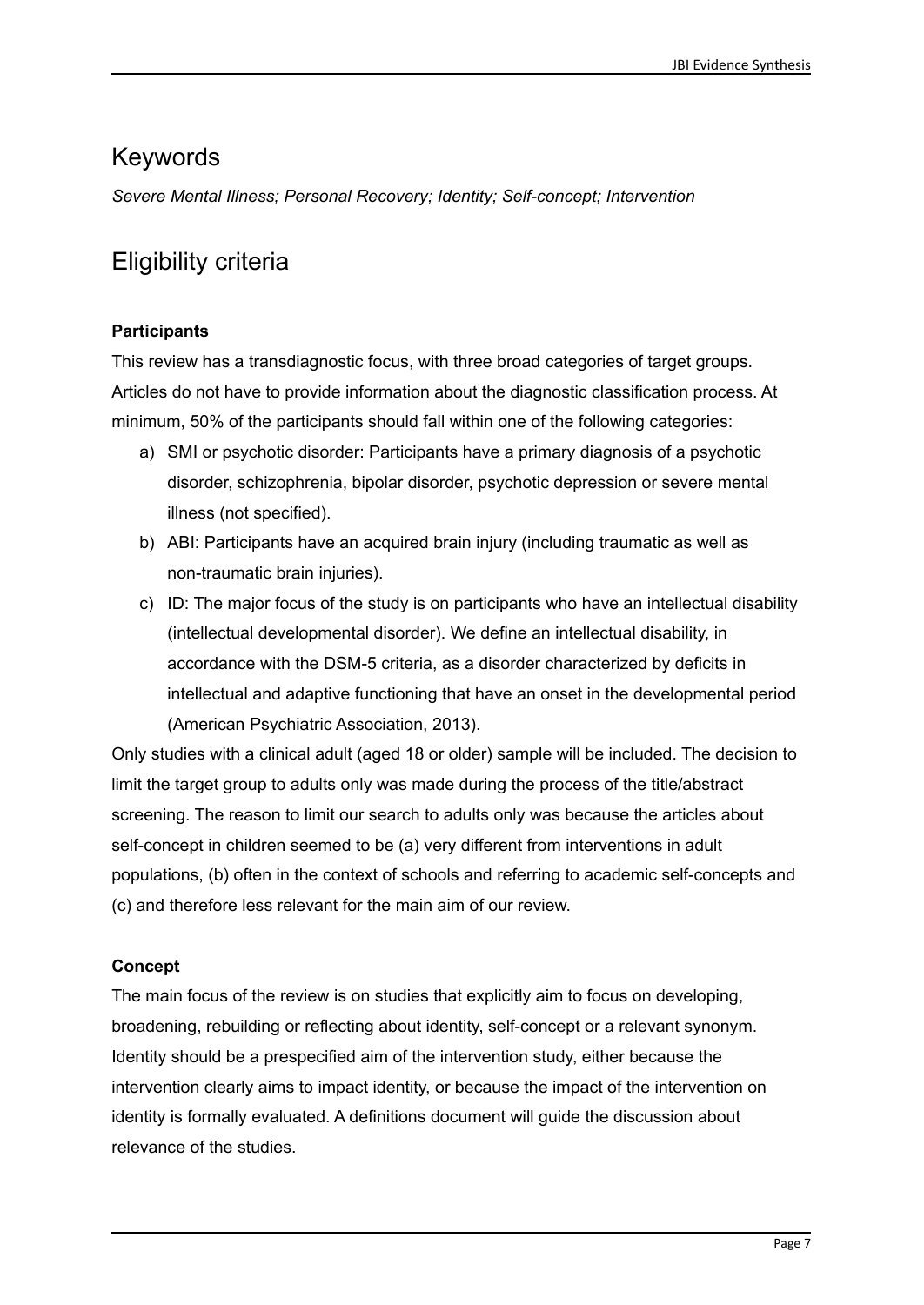### Keywords

*Severe Mental Illness; Personal Recovery; Identity; Self-concept; Intervention*

# Eligibility criteria

### **Participants**

This review has a transdiagnostic focus, with three broad categories of target groups. Articles do not have to provide information about the diagnostic classification process. At minimum, 50% of the participants should fall within one of the following categories:

- a) SMI or psychotic disorder: Participants have a primary diagnosis of a psychotic disorder, schizophrenia, bipolar disorder, psychotic depression or severe mental illness (not specified).
- b) ABI: Participants have an acquired brain injury (including traumatic as well as non-traumatic brain injuries).
- c) ID: The major focus of the study is on participants who have an intellectual disability (intellectual developmental disorder). We define an intellectual disability, in accordance with the DSM-5 criteria, as a disorder characterized by deficits in intellectual and adaptive functioning that have an onset in the developmental period (American Psychiatric Association, 2013).

Only studies with a clinical adult (aged 18 or older) sample will be included. The decision to limit the target group to adults only was made during the process of the title/abstract screening. The reason to limit our search to adults only was because the articles about self-concept in children seemed to be (a) very different from interventions in adult populations, (b) often in the context of schools and referring to academic self-concepts and (c) and therefore less relevant for the main aim of our review.

### **Concept**

The main focus of the review is on studies that explicitly aim to focus on developing, broadening, rebuilding or reflecting about identity, self-concept or a relevant synonym. Identity should be a prespecified aim of the intervention study, either because the intervention clearly aims to impact identity, or because the impact of the intervention on identity is formally evaluated. A definitions document will guide the discussion about relevance of the studies.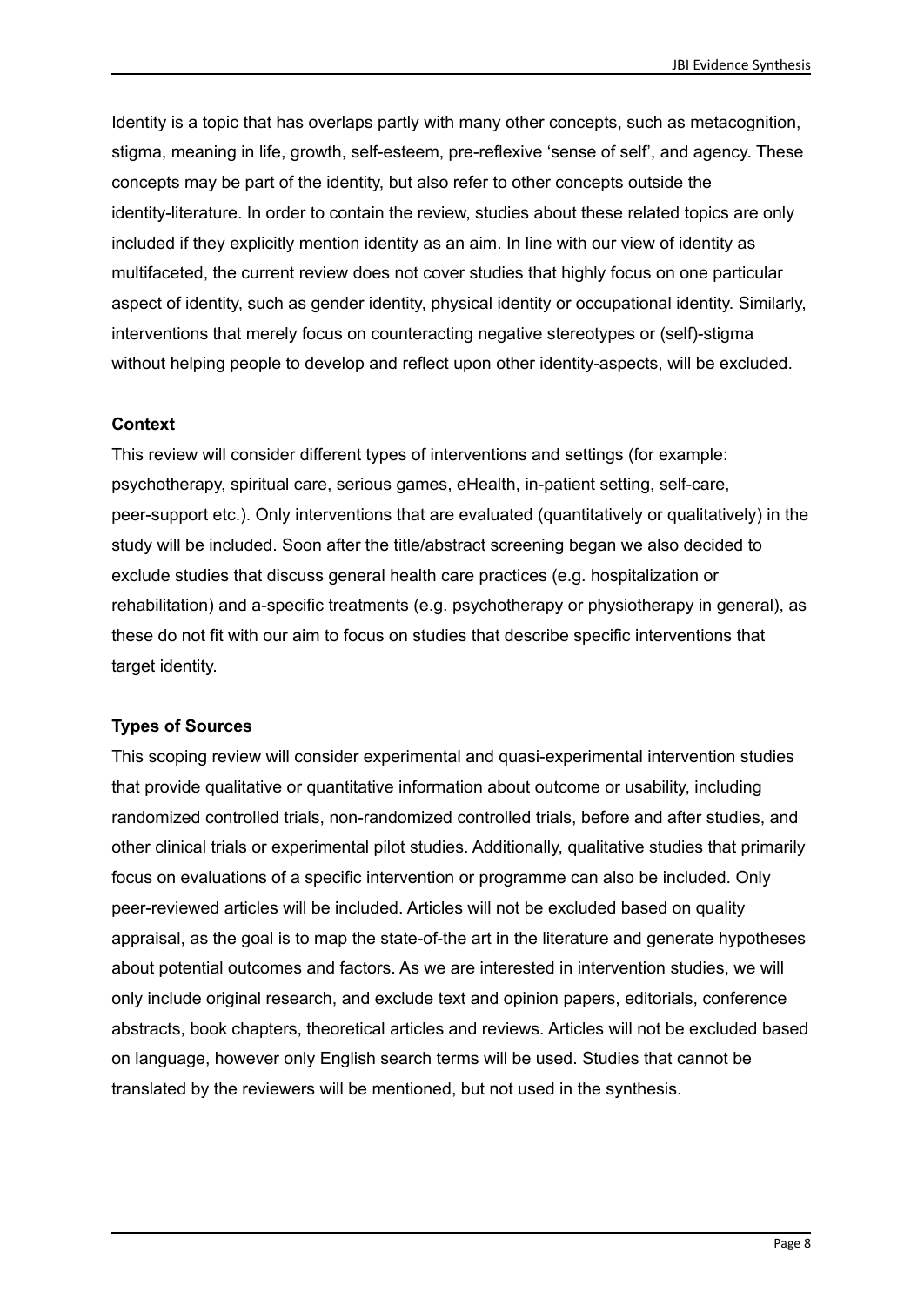Identity is a topic that has overlaps partly with many other concepts, such as metacognition, stigma, meaning in life, growth, self-esteem, pre-reflexive 'sense of self', and agency. These concepts may be part of the identity, but also refer to other concepts outside the identity-literature. In order to contain the review, studies about these related topics are only included if they explicitly mention identity as an aim. In line with our view of identity as multifaceted, the current review does not cover studies that highly focus on one particular aspect of identity, such as gender identity, physical identity or occupational identity. Similarly, interventions that merely focus on counteracting negative stereotypes or (self)-stigma without helping people to develop and reflect upon other identity-aspects, will be excluded.

#### **Context**

This review will consider different types of interventions and settings (for example: psychotherapy, spiritual care, serious games, eHealth, in-patient setting, self-care, peer-support etc.). Only interventions that are evaluated (quantitatively or qualitatively) in the study will be included. Soon after the title/abstract screening began we also decided to exclude studies that discuss general health care practices (e.g. hospitalization or rehabilitation) and a-specific treatments (e.g. psychotherapy or physiotherapy in general), as these do not fit with our aim to focus on studies that describe specific interventions that target identity.

#### **Types of Sources**

This scoping review will consider experimental and quasi-experimental intervention studies that provide qualitative or quantitative information about outcome or usability, including randomized controlled trials, non-randomized controlled trials, before and after studies, and other clinical trials or experimental pilot studies. Additionally, qualitative studies that primarily focus on evaluations of a specific intervention or programme can also be included. Only peer-reviewed articles will be included. Articles will not be excluded based on quality appraisal, as the goal is to map the state-of-the art in the literature and generate hypotheses about potential outcomes and factors. As we are interested in intervention studies, we will only include original research, and exclude text and opinion papers, editorials, conference abstracts, book chapters, theoretical articles and reviews. Articles will not be excluded based on language, however only English search terms will be used. Studies that cannot be translated by the reviewers will be mentioned, but not used in the synthesis.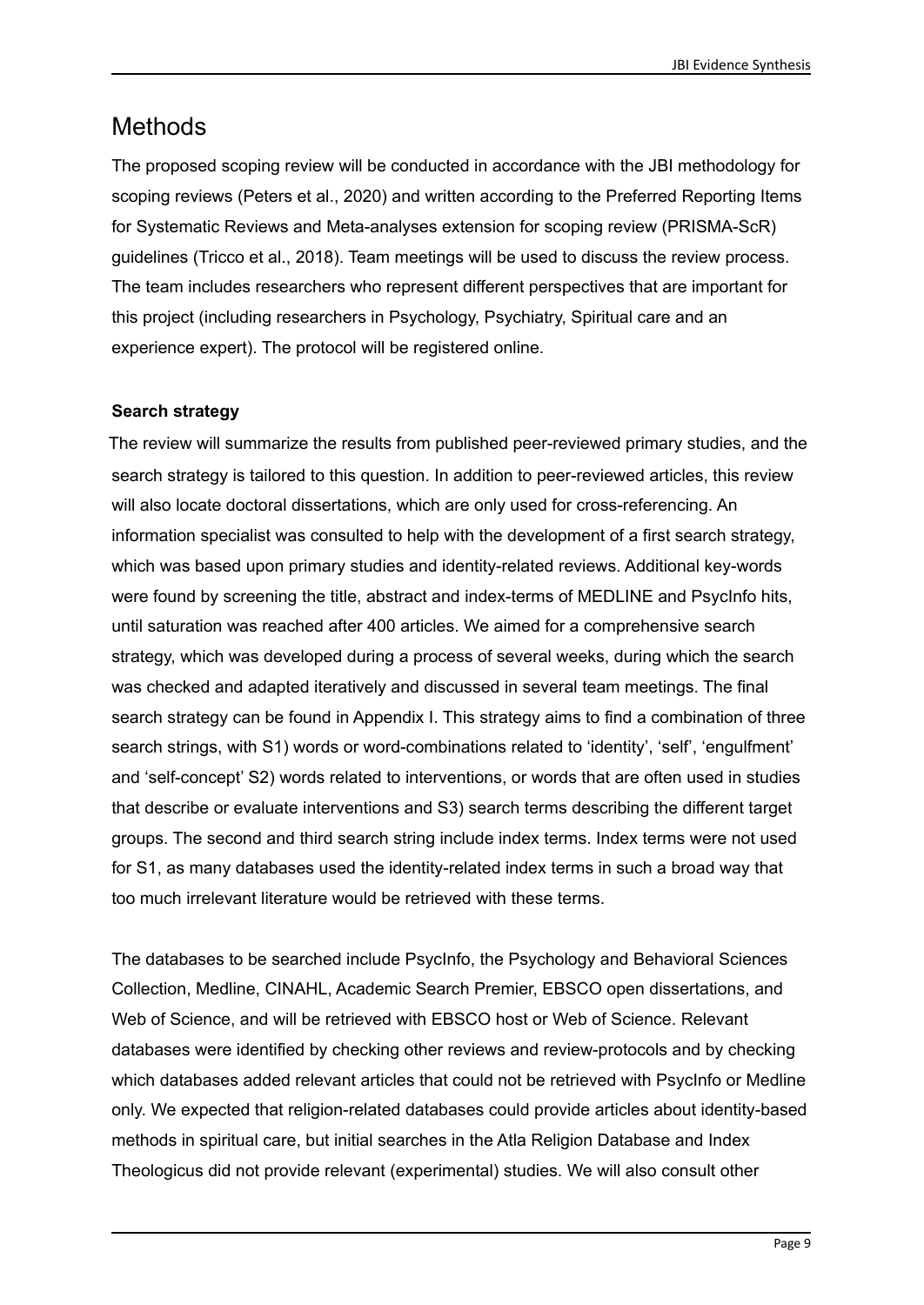# **Methods**

The proposed scoping review will be conducted in accordance with the JBI methodology for scoping reviews (Peters et al., 2020) and written according to the Preferred Reporting Items for Systematic Reviews and Meta-analyses extension for scoping review (PRISMA-ScR) guidelines (Tricco et al., 2018). Team meetings will be used to discuss the review process. The team includes researchers who represent different perspectives that are important for this project (including researchers in Psychology, Psychiatry, Spiritual care and an experience expert). The protocol will be registered online.

### **Search strategy**

The review will summarize the results from published peer-reviewed primary studies, and the search strategy is tailored to this question. In addition to peer-reviewed articles, this review will also locate doctoral dissertations, which are only used for cross-referencing. An information specialist was consulted to help with the development of a first search strategy, which was based upon primary studies and identity-related reviews. Additional key-words were found by screening the title, abstract and index-terms of MEDLINE and PsycInfo hits, until saturation was reached after 400 articles. We aimed for a comprehensive search strategy, which was developed during a process of several weeks, during which the search was checked and adapted iteratively and discussed in several team meetings. The final search strategy can be found in Appendix I. This strategy aims to find a combination of three search strings, with S1) words or word-combinations related to 'identity', 'self', 'engulfment' and 'self-concept' S2) words related to interventions, or words that are often used in studies that describe or evaluate interventions and S3) search terms describing the different target groups. The second and third search string include index terms. Index terms were not used for S1, as many databases used the identity-related index terms in such a broad way that too much irrelevant literature would be retrieved with these terms.

The databases to be searched include PsycInfo, the Psychology and Behavioral Sciences Collection, Medline, CINAHL, Academic Search Premier, EBSCO open dissertations, and Web of Science, and will be retrieved with EBSCO host or Web of Science. Relevant databases were identified by checking other reviews and review-protocols and by checking which databases added relevant articles that could not be retrieved with PsycInfo or Medline only. We expected that religion-related databases could provide articles about identity-based methods in spiritual care, but initial searches in the Atla Religion Database and Index Theologicus did not provide relevant (experimental) studies. We will also consult other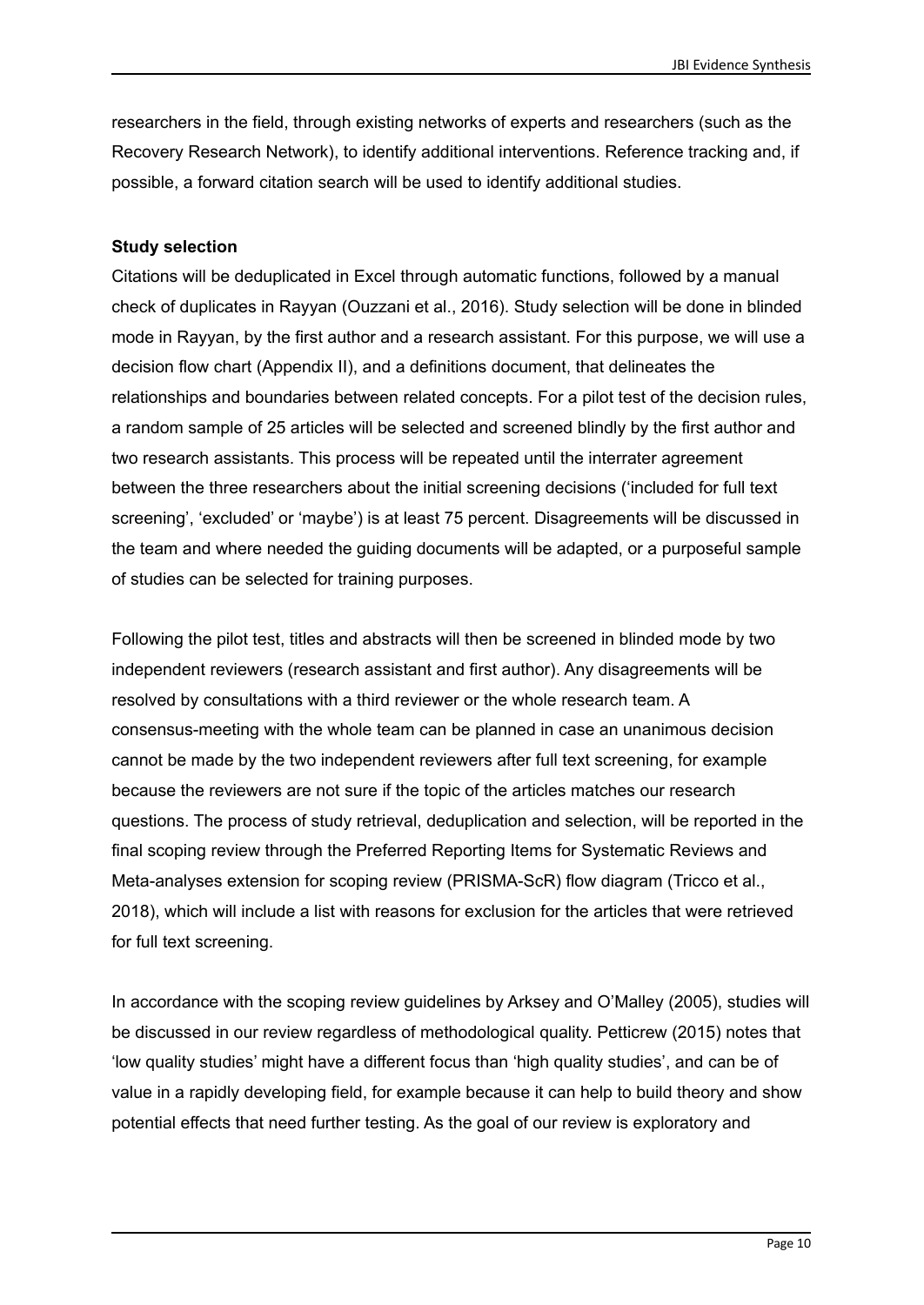researchers in the field, through existing networks of experts and researchers (such as the Recovery Research Network), to identify additional interventions. Reference tracking and, if possible, a forward citation search will be used to identify additional studies.

#### **Study selection**

Citations will be deduplicated in Excel through automatic functions, followed by a manual check of duplicates in Rayyan (Ouzzani et al., 2016). Study selection will be done in blinded mode in Rayyan, by the first author and a research assistant. For this purpose, we will use a decision flow chart (Appendix II), and a definitions document, that delineates the relationships and boundaries between related concepts. For a pilot test of the decision rules, a random sample of 25 articles will be selected and screened blindly by the first author and two research assistants. This process will be repeated until the interrater agreement between the three researchers about the initial screening decisions ('included for full text screening', 'excluded' or 'maybe') is at least 75 percent. Disagreements will be discussed in the team and where needed the guiding documents will be adapted, or a purposeful sample of studies can be selected for training purposes.

Following the pilot test, titles and abstracts will then be screened in blinded mode by two independent reviewers (research assistant and first author). Any disagreements will be resolved by consultations with a third reviewer or the whole research team. A consensus-meeting with the whole team can be planned in case an unanimous decision cannot be made by the two independent reviewers after full text screening, for example because the reviewers are not sure if the topic of the articles matches our research questions. The process of study retrieval, deduplication and selection, will be reported in the final scoping review through the Preferred Reporting Items for Systematic Reviews and Meta-analyses extension for scoping review (PRISMA-ScR) flow diagram (Tricco et al., 2018), which will include a list with reasons for exclusion for the articles that were retrieved for full text screening.

In accordance with the scoping review guidelines by Arksey and O'Malley (2005), studies will be discussed in our review regardless of methodological quality. Petticrew (2015) notes that 'low quality studies' might have a different focus than 'high quality studies', and can be of value in a rapidly developing field, for example because it can help to build theory and show potential effects that need further testing. As the goal of our review is exploratory and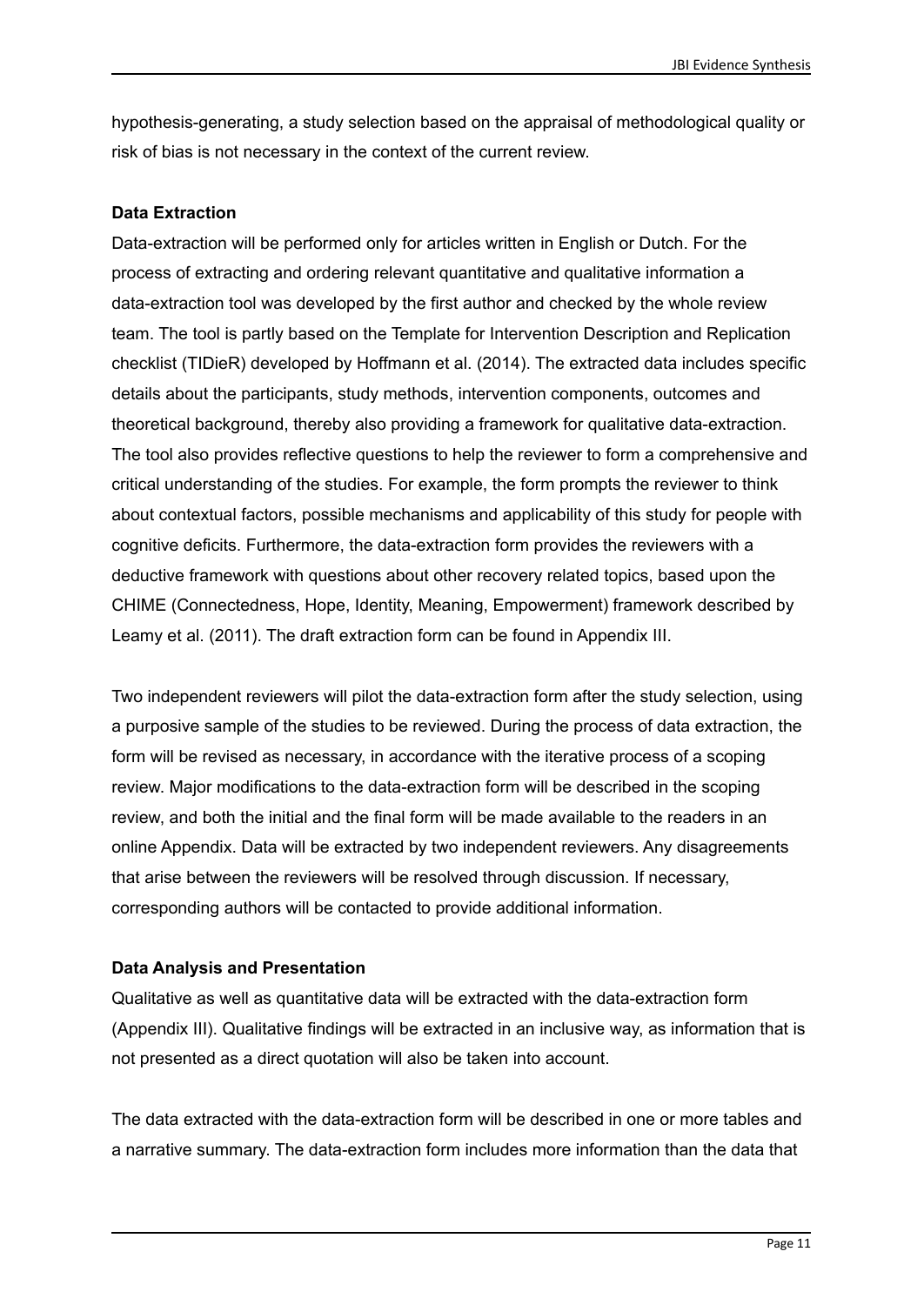hypothesis-generating, a study selection based on the appraisal of methodological quality or risk of bias is not necessary in the context of the current review.

#### **Data Extraction**

Data-extraction will be performed only for articles written in English or Dutch. For the process of extracting and ordering relevant quantitative and qualitative information a data-extraction tool was developed by the first author and checked by the whole review team. The tool is partly based on the Template for Intervention Description and Replication checklist (TIDieR) developed by Hoffmann et al. (2014). The extracted data includes specific details about the participants, study methods, intervention components, outcomes and theoretical background, thereby also providing a framework for qualitative data-extraction. The tool also provides reflective questions to help the reviewer to form a comprehensive and critical understanding of the studies. For example, the form prompts the reviewer to think about contextual factors, possible mechanisms and applicability of this study for people with cognitive deficits. Furthermore, the data-extraction form provides the reviewers with a deductive framework with questions about other recovery related topics, based upon the CHIME (Connectedness, Hope, Identity, Meaning, Empowerment) framework described by Leamy et al. (2011). The draft extraction form can be found in Appendix III.

Two independent reviewers will pilot the data-extraction form after the study selection, using a purposive sample of the studies to be reviewed. During the process of data extraction, the form will be revised as necessary, in accordance with the iterative process of a scoping review. Major modifications to the data-extraction form will be described in the scoping review, and both the initial and the final form will be made available to the readers in an online Appendix. Data will be extracted by two independent reviewers. Any disagreements that arise between the reviewers will be resolved through discussion. If necessary, corresponding authors will be contacted to provide additional information.

#### **Data Analysis and Presentation**

Qualitative as well as quantitative data will be extracted with the data-extraction form (Appendix III). Qualitative findings will be extracted in an inclusive way, as information that is not presented as a direct quotation will also be taken into account.

The data extracted with the data-extraction form will be described in one or more tables and a narrative summary. The data-extraction form includes more information than the data that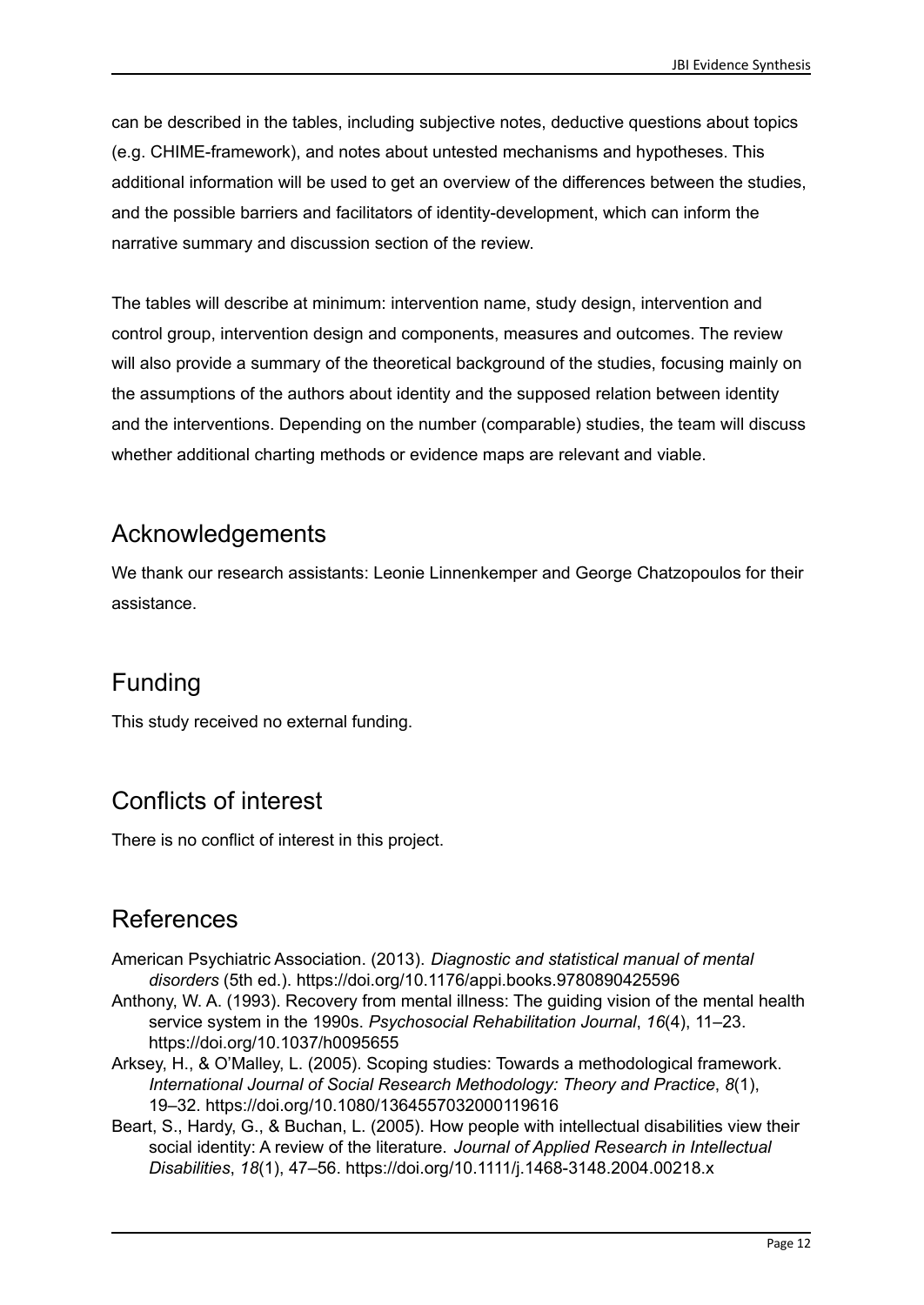can be described in the tables, including subjective notes, deductive questions about topics (e.g. CHIME-framework), and notes about untested mechanisms and hypotheses. This additional information will be used to get an overview of the differences between the studies, and the possible barriers and facilitators of identity-development, which can inform the narrative summary and discussion section of the review.

The tables will describe at minimum: intervention name, study design, intervention and control group, intervention design and components, measures and outcomes. The review will also provide a summary of the theoretical background of the studies, focusing mainly on the assumptions of the authors about identity and the supposed relation between identity and the interventions. Depending on the number (comparable) studies, the team will discuss whether additional charting methods or evidence maps are relevant and viable.

### Acknowledgements

We thank our research assistants: Leonie Linnenkemper and George Chatzopoulos for their assistance.

# Funding

This study received no external funding.

# Conflicts of interest

There is no conflict of interest in this project.

# References

- American Psychiatric Association. (2013). *Diagnostic and statistical manual of mental disorders* (5th ed.). https://doi.org/10.1176/appi.books.9780890425596
- Anthony, W. A. (1993). Recovery from mental illness: The guiding vision of the mental health service system in the 1990s. *Psychosocial Rehabilitation Journal*, *16*(4), 11–23. https://doi.org/10.1037/h0095655
- Arksey, H., & O'Malley, L. (2005). Scoping studies: Towards a methodological framework. *International Journal of Social Research Methodology: Theory and Practice*, *8*(1), 19–32. https://doi.org/10.1080/1364557032000119616
- Beart, S., Hardy, G., & Buchan, L. (2005). How people with intellectual disabilities view their social identity: A review of the literature. *Journal of Applied Research in Intellectual Disabilities*, *18*(1), 47–56. https://doi.org/10.1111/j.1468-3148.2004.00218.x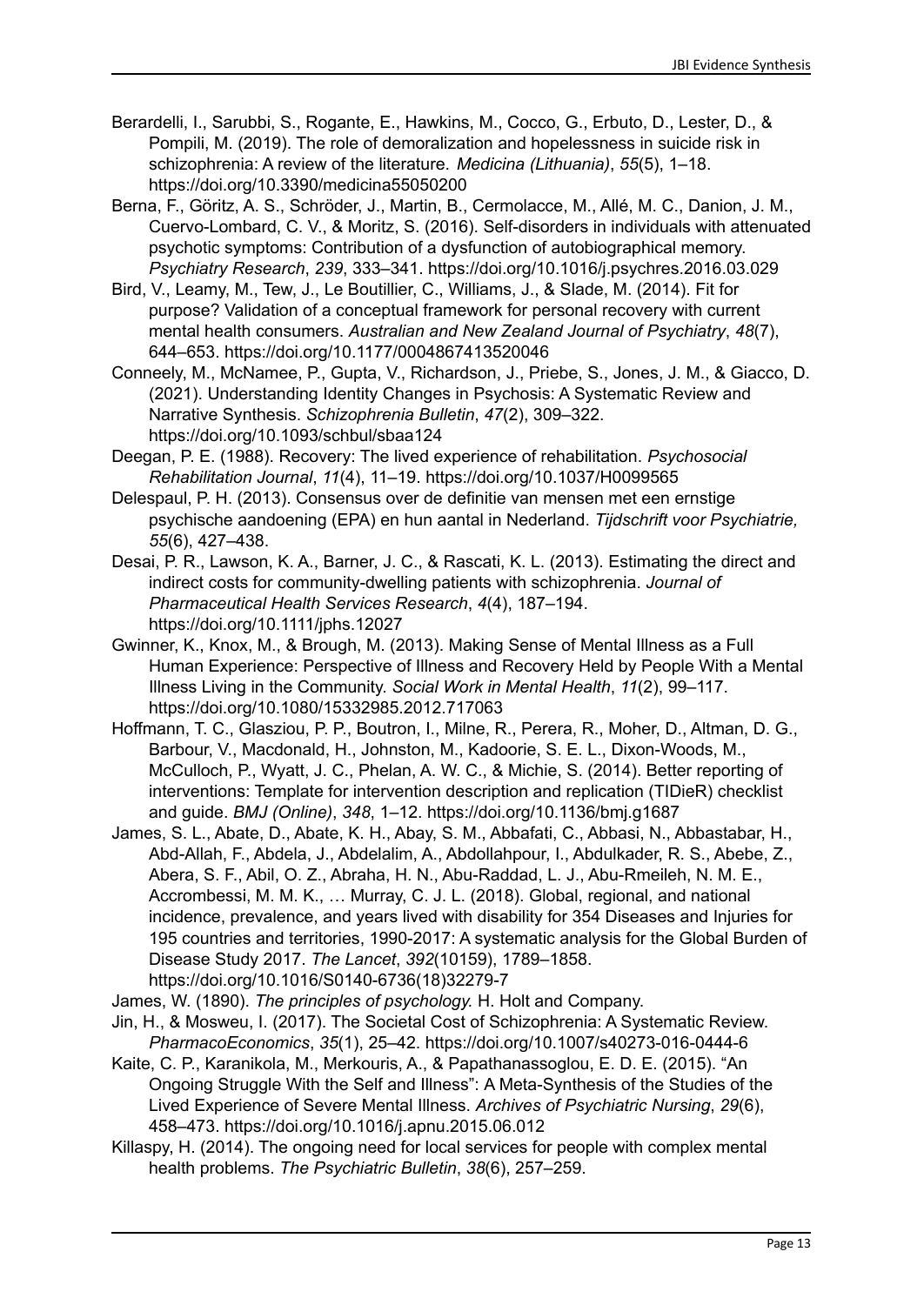- Berardelli, I., Sarubbi, S., Rogante, E., Hawkins, M., Cocco, G., Erbuto, D., Lester, D., & Pompili, M. (2019). The role of demoralization and hopelessness in suicide risk in schizophrenia: A review of the literature. *Medicina (Lithuania)*, *55*(5), 1–18. https://doi.org/10.3390/medicina55050200
- Berna, F., Göritz, A. S., Schröder, J., Martin, B., Cermolacce, M., Allé, M. C., Danion, J. M., Cuervo-Lombard, C. V., & Moritz, S. (2016). Self-disorders in individuals with attenuated psychotic symptoms: Contribution of a dysfunction of autobiographical memory. *Psychiatry Research*, *239*, 333–341. https://doi.org/10.1016/j.psychres.2016.03.029
- Bird, V., Leamy, M., Tew, J., Le Boutillier, C., Williams, J., & Slade, M. (2014). Fit for purpose? Validation of a conceptual framework for personal recovery with current mental health consumers. *Australian and New Zealand Journal of Psychiatry*, *48*(7), 644–653. https://doi.org/10.1177/0004867413520046
- Conneely, M., McNamee, P., Gupta, V., Richardson, J., Priebe, S., Jones, J. M., & Giacco, D. (2021). Understanding Identity Changes in Psychosis: A Systematic Review and Narrative Synthesis. *Schizophrenia Bulletin*, *47*(2), 309–322. https://doi.org/10.1093/schbul/sbaa124
- Deegan, P. E. (1988). Recovery: The lived experience of rehabilitation. *Psychosocial Rehabilitation Journal*, *11*(4), 11–19. https://doi.org/10.1037/H0099565
- Delespaul, P. H. (2013). Consensus over de definitie van mensen met een ernstige psychische aandoening (EPA) en hun aantal in Nederland. *Tijdschrift voor Psychiatrie, 55*(6), 427–438.
- Desai, P. R., Lawson, K. A., Barner, J. C., & Rascati, K. L. (2013). Estimating the direct and indirect costs for community-dwelling patients with schizophrenia. *Journal of Pharmaceutical Health Services Research*, *4*(4), 187–194. https://doi.org/10.1111/jphs.12027
- Gwinner, K., Knox, M., & Brough, M. (2013). Making Sense of Mental Illness as a Full Human Experience: Perspective of Illness and Recovery Held by People With a Mental Illness Living in the Community. *Social Work in Mental Health*, *11*(2), 99–117. https://doi.org/10.1080/15332985.2012.717063
- Hoffmann, T. C., Glasziou, P. P., Boutron, I., Milne, R., Perera, R., Moher, D., Altman, D. G., Barbour, V., Macdonald, H., Johnston, M., Kadoorie, S. E. L., Dixon-Woods, M., McCulloch, P., Wyatt, J. C., Phelan, A. W. C., & Michie, S. (2014). Better reporting of interventions: Template for intervention description and replication (TIDieR) checklist and guide. *BMJ (Online)*, *348*, 1–12. https://doi.org/10.1136/bmj.g1687
- James, S. L., Abate, D., Abate, K. H., Abay, S. M., Abbafati, C., Abbasi, N., Abbastabar, H., Abd-Allah, F., Abdela, J., Abdelalim, A., Abdollahpour, I., Abdulkader, R. S., Abebe, Z., Abera, S. F., Abil, O. Z., Abraha, H. N., Abu-Raddad, L. J., Abu-Rmeileh, N. M. E., Accrombessi, M. M. K., … Murray, C. J. L. (2018). Global, regional, and national incidence, prevalence, and years lived with disability for 354 Diseases and Injuries for 195 countries and territories, 1990-2017: A systematic analysis for the Global Burden of Disease Study 2017. *The Lancet*, *392*(10159), 1789–1858. https://doi.org/10.1016/S0140-6736(18)32279-7
- James, W. (1890). *The principles of psychology.* H. Holt and Company.
- Jin, H., & Mosweu, I. (2017). The Societal Cost of Schizophrenia: A Systematic Review. *PharmacoEconomics*, *35*(1), 25–42. https://doi.org/10.1007/s40273-016-0444-6
- Kaite, C. P., Karanikola, M., Merkouris, A., & Papathanassoglou, E. D. E. (2015). "An Ongoing Struggle With the Self and Illness": Α Meta-Synthesis of the Studies of the Lived Experience of Severe Mental Illness. *Archives of Psychiatric Nursing*, *29*(6), 458–473. https://doi.org/10.1016/j.apnu.2015.06.012
- Killaspy, H. (2014). The ongoing need for local services for people with complex mental health problems. *The Psychiatric Bulletin*, *38*(6), 257–259.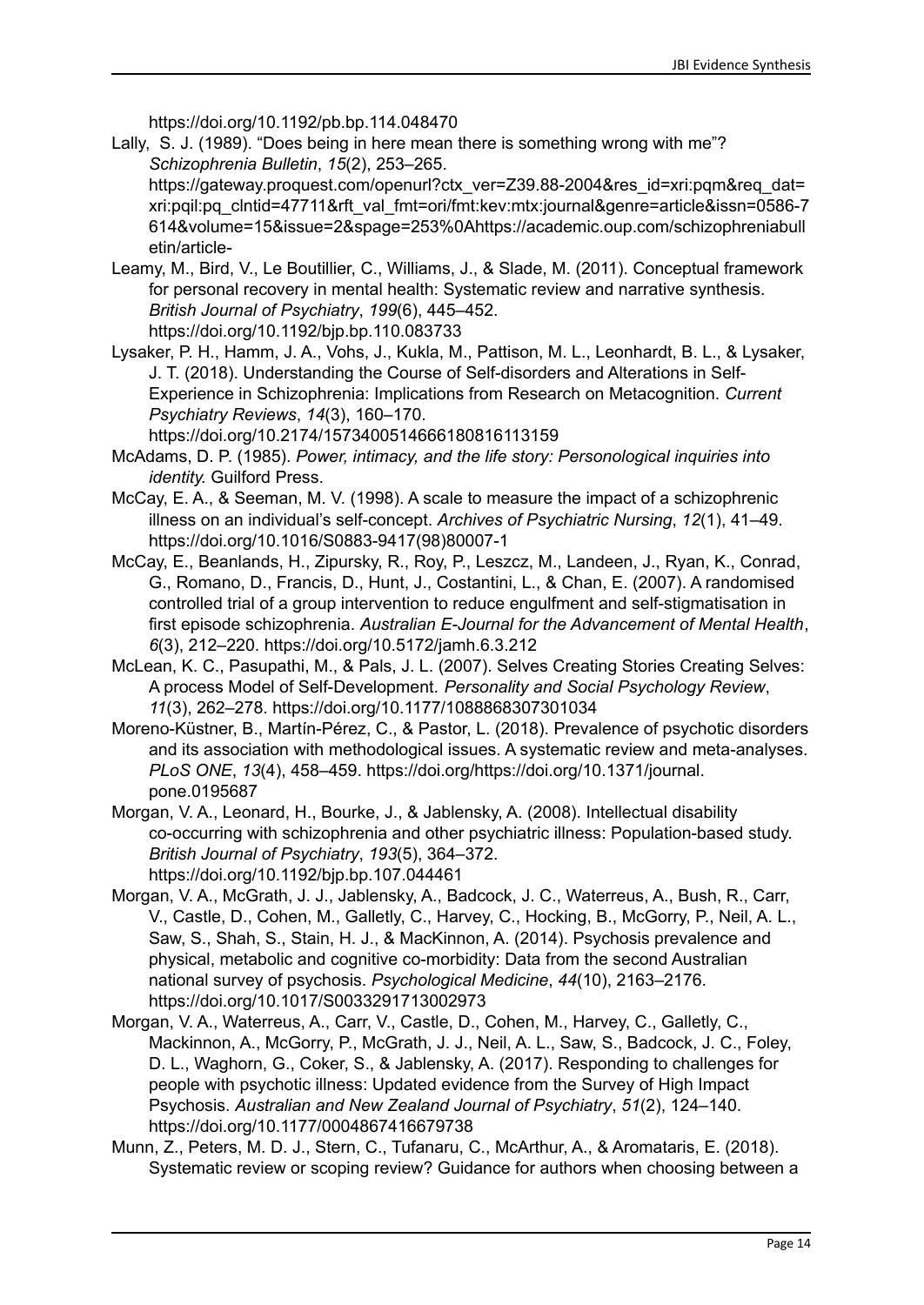https://doi.org/10.1192/pb.bp.114.048470

Lally, S. J. (1989). "Does being in here mean there is something wrong with me"? *Schizophrenia Bulletin*, *15*(2), 253–265.

https://gateway.proquest.com/openurl?ctx\_ver=Z39.88-2004&res\_id=xri:pgm&reg\_dat= xri:pqil:pq\_clntid=47711&rft\_val\_fmt=ori/fmt:kev:mtx:journal&genre=article&issn=0586-7 614&volume=15&issue=2&spage=253%0Ahttps://academic.oup.com/schizophreniabull etin/article-

- Leamy, M., Bird, V., Le Boutillier, C., Williams, J., & Slade, M. (2011). Conceptual framework for personal recovery in mental health: Systematic review and narrative synthesis. *British Journal of Psychiatry*, *199*(6), 445–452. https://doi.org/10.1192/bjp.bp.110.083733
- Lysaker, P. H., Hamm, J. A., Vohs, J., Kukla, M., Pattison, M. L., Leonhardt, B. L., & Lysaker, J. T. (2018). Understanding the Course of Self-disorders and Alterations in Self-Experience in Schizophrenia: Implications from Research on Metacognition. *Current Psychiatry Reviews*, *14*(3), 160–170.

https://doi.org/10.2174/1573400514666180816113159

- McAdams, D. P. (1985). *Power, intimacy, and the life story: Personological inquiries into identity.* Guilford Press.
- McCay, E. A., & Seeman, M. V. (1998). A scale to measure the impact of a schizophrenic illness on an individual's self-concept. *Archives of Psychiatric Nursing*, *12*(1), 41–49. https://doi.org/10.1016/S0883-9417(98)80007-1
- McCay, E., Beanlands, H., Zipursky, R., Roy, P., Leszcz, M., Landeen, J., Ryan, K., Conrad, G., Romano, D., Francis, D., Hunt, J., Costantini, L., & Chan, E. (2007). A randomised controlled trial of a group intervention to reduce engulfment and self-stigmatisation in first episode schizophrenia. *Australian E-Journal for the Advancement of Mental Health*, *6*(3), 212–220. https://doi.org/10.5172/jamh.6.3.212
- McLean, K. C., Pasupathi, M., & Pals, J. L. (2007). Selves Creating Stories Creating Selves: A process Model of Self-Development. *Personality and Social Psychology Review*, *11*(3), 262–278. https://doi.org/10.1177/1088868307301034
- Moreno-Küstner, B., Martín-Pérez, C., & Pastor, L. (2018). Prevalence of psychotic disorders and its association with methodological issues. A systematic review and meta-analyses. *PLoS ONE*, *13*(4), 458–459. https://doi.org/https://doi.org/10.1371/journal. pone.0195687
- Morgan, V. A., Leonard, H., Bourke, J., & Jablensky, A. (2008). Intellectual disability co-occurring with schizophrenia and other psychiatric illness: Population-based study. *British Journal of Psychiatry*, *193*(5), 364–372. https://doi.org/10.1192/bjp.bp.107.044461
- Morgan, V. A., McGrath, J. J., Jablensky, A., Badcock, J. C., Waterreus, A., Bush, R., Carr, V., Castle, D., Cohen, M., Galletly, C., Harvey, C., Hocking, B., McGorry, P., Neil, A. L., Saw, S., Shah, S., Stain, H. J., & MacKinnon, A. (2014). Psychosis prevalence and physical, metabolic and cognitive co-morbidity: Data from the second Australian national survey of psychosis. *Psychological Medicine*, *44*(10), 2163–2176. https://doi.org/10.1017/S0033291713002973
- Morgan, V. A., Waterreus, A., Carr, V., Castle, D., Cohen, M., Harvey, C., Galletly, C., Mackinnon, A., McGorry, P., McGrath, J. J., Neil, A. L., Saw, S., Badcock, J. C., Foley, D. L., Waghorn, G., Coker, S., & Jablensky, A. (2017). Responding to challenges for people with psychotic illness: Updated evidence from the Survey of High Impact Psychosis. *Australian and New Zealand Journal of Psychiatry*, *51*(2), 124–140. https://doi.org/10.1177/0004867416679738
- Munn, Z., Peters, M. D. J., Stern, C., Tufanaru, C., McArthur, A., & Aromataris, E. (2018). Systematic review or scoping review? Guidance for authors when choosing between a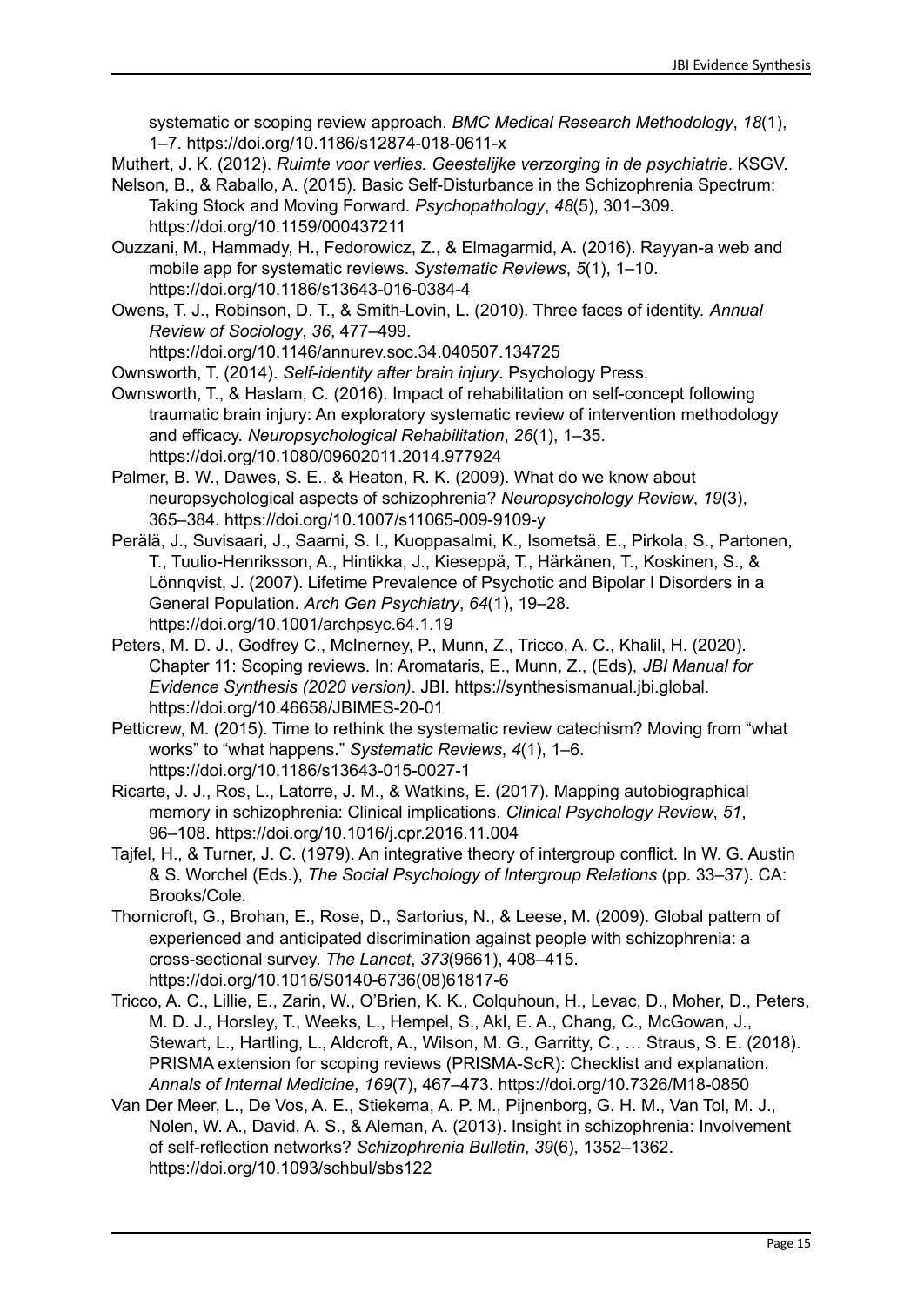systematic or scoping review approach. *BMC Medical Research Methodology*, *18*(1), 1–7. https://doi.org/10.1186/s12874-018-0611-x

Muthert, J. K. (2012). *Ruimte voor verlies. Geestelijke verzorging in de psychiatrie*. KSGV.

- Nelson, B., & Raballo, A. (2015). Basic Self-Disturbance in the Schizophrenia Spectrum: Taking Stock and Moving Forward. *Psychopathology*, *48*(5), 301–309.
	- https://doi.org/10.1159/000437211
- Ouzzani, M., Hammady, H., Fedorowicz, Z., & Elmagarmid, A. (2016). Rayyan-a web and mobile app for systematic reviews. *Systematic Reviews*, *5*(1), 1–10. https://doi.org/10.1186/s13643-016-0384-4
- Owens, T. J., Robinson, D. T., & Smith-Lovin, L. (2010). Three faces of identity. *Annual Review of Sociology*, *36*, 477–499.

https://doi.org/10.1146/annurev.soc.34.040507.134725

Ownsworth, T. (2014). *Self-identity after brain injury*. Psychology Press.

- Ownsworth, T., & Haslam, C. (2016). Impact of rehabilitation on self-concept following traumatic brain injury: An exploratory systematic review of intervention methodology and efficacy. *Neuropsychological Rehabilitation*, *26*(1), 1–35. https://doi.org/10.1080/09602011.2014.977924
- Palmer, B. W., Dawes, S. E., & Heaton, R. K. (2009). What do we know about neuropsychological aspects of schizophrenia? *Neuropsychology Review*, *19*(3), 365–384. https://doi.org/10.1007/s11065-009-9109-y
- Perälä, J., Suvisaari, J., Saarni, S. I., Kuoppasalmi, K., Isometsä, E., Pirkola, S., Partonen, T., Tuulio-Henriksson, A., Hintikka, J., Kieseppä, T., Härkänen, T., Koskinen, S., & Lönnqvist, J. (2007). Lifetime Prevalence of Psychotic and Bipolar I Disorders in a General Population. *Arch Gen Psychiatry*, *64*(1), 19–28. https://doi.org/10.1001/archpsyc.64.1.19
- Peters, M. D. J., Godfrey C., McInerney, P., Munn, Z., Tricco, A. C., Khalil, H. (2020). Chapter 11: Scoping reviews. In: Aromataris, E., Munn, Z., (Eds), *JBI Manual for Evidence Synthesis (2020 version)*. JBI. https://synthesismanual.jbi.global. https://doi.org/10.46658/JBIMES-20-01
- Petticrew, M. (2015). Time to rethink the systematic review catechism? Moving from "what works" to "what happens." *Systematic Reviews*, *4*(1), 1–6. https://doi.org/10.1186/s13643-015-0027-1
- Ricarte, J. J., Ros, L., Latorre, J. M., & Watkins, E. (2017). Mapping autobiographical memory in schizophrenia: Clinical implications. *Clinical Psychology Review*, *51*, 96–108. https://doi.org/10.1016/j.cpr.2016.11.004
- Tajfel, H., & Turner, J. C. (1979). An integrative theory of intergroup conflict. In W. G. Austin & S. Worchel (Eds.), *The Social Psychology of Intergroup Relations* (pp. 33–37). CA: Brooks/Cole.
- Thornicroft, G., Brohan, E., Rose, D., Sartorius, N., & Leese, M. (2009). Global pattern of experienced and anticipated discrimination against people with schizophrenia: a cross-sectional survey. *The Lancet*, *373*(9661), 408–415. https://doi.org/10.1016/S0140-6736(08)61817-6
- Tricco, A. C., Lillie, E., Zarin, W., O'Brien, K. K., Colquhoun, H., Levac, D., Moher, D., Peters, M. D. J., Horsley, T., Weeks, L., Hempel, S., Akl, E. A., Chang, C., McGowan, J., Stewart, L., Hartling, L., Aldcroft, A., Wilson, M. G., Garritty, C., ... Straus, S. E. (2018). PRISMA extension for scoping reviews (PRISMA-ScR): Checklist and explanation. *Annals of Internal Medicine*, *169*(7), 467–473. https://doi.org/10.7326/M18-0850
- Van Der Meer, L., De Vos, A. E., Stiekema, A. P. M., Pijnenborg, G. H. M., Van Tol, M. J., Nolen, W. A., David, A. S., & Aleman, A. (2013). Insight in schizophrenia: Involvement of self-reflection networks? *Schizophrenia Bulletin*, *39*(6), 1352–1362. https://doi.org/10.1093/schbul/sbs122